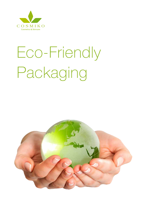

# Eco-Friendly Packaging

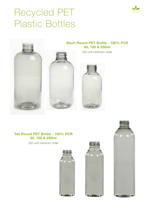

# Recycled PET Plastic Bottles



#### Tall Round PET Bottle - 100% PCR 50, 100 & 250ml





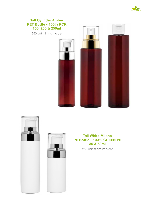

#### Tall Cylinder Amber PET Bottle - 100% PCR 150, 200 & 250ml

250 unit minimum order







#### Tall White Milano PE Bottle - 100% GREEN PE 30 & 50ml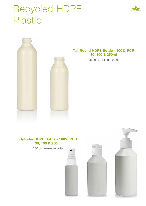### Recycled HDPE Plastic





#### Tall Round HDPE Bottle - 100% PCR 30, 100 & 250ml

250 unit minimum order

#### Cylinder HDPE Bottle - 100% PCR 30, 100 & 250ml





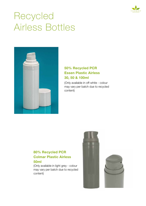

# Recycled Airless Bottles



#### 50% Recycled PCR Essen Plastic Airless 30, 50 & 100ml

(Only available in off-white - colour may vary per batch due to recycled content)

#### 80% Recycled PCR Colmar Plastic Airless 50ml

(Only available in light grey - colour may vary per batch due to recycled content)

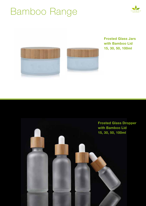### Bamboo Range







Frosted Glass Jars with Bamboo Lid 15, 30, 50, 100ml

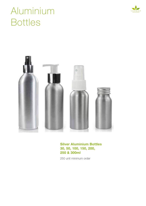

# Aluminium Bottles



#### Silver Aluminium Bottles 30, 50, 100, 150, 200, 250 & 300ml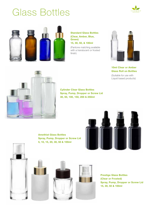### Glass Bottles





Standard Glass Bottles (Clear, Amber, Blue, Green) 15, 30, 50, & 100ml

(Pantone matching available with a translucent or frosted finish)



10ml Clear or Amber Glass Roll on Bottles

(Suitable for use with Liquid based products)



Cylinder Clear Glass Bottles Spray, Pump, Dropper or Screw Lid 30, 50, 100, 150, 200 & 250ml

Amethist Glass Bottles Spray, Pump, Dropper or Screw Lid 5, 10, 15, 20, 30, 50 & 100ml











Prestige Glass Bottles (Clear or Frosted) Spray, Pump, Dropper or Screw Lid 15, 30, 50 & 100ml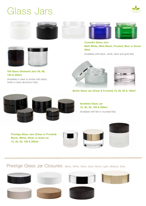### Glass Jars













Cosmiko Glass Jars Matt White, Matt Black, Frosted, Blue or Green 50ml

(Available with black, white, silver and gold lids)



Tall Glass Ointment Jars 30, 60, 120 & 250ml

(Available in clear or amber with black, white or silver aluminium lids)





Berlin Glass Jar (Clear & Frosted) 15, 30, 50 & 100ml



#### Amethist Glass Jar 15, 30, 50, 100 & 200ml (Available with flat or rounded lids)

Prestige Glass Jars (Clear or Frosted) Black, White, Silver or Gold Lid 15, 30, 50, 100 & 200ml







Prestige Glass Jar Closures: Black, White, Silver, Gold, Wood: Light, Medium, Dark.













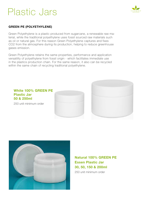### Plastic Jars



#### GREEN PE (POLYETHYLENE)

Green Polyethylene is a plastic produced from sugarcane, a renewable raw material, while the traditional polyethylene uses fossil sourced raw materials such as oil or natural gas. For this reason Green Polyethylene captures and fixes CO2 from the atmosphere during its production, helping to reduce greenhouse gases emission.

Green Polyethylene retains the same properties, performance and application versatility of polyethylene from fossil origin - which facilitates immediate use in the plastics production chain. For the same reason, it also can be recycled within the same chain of recycling traditional polyethylene.





Natural 100% GREEN PE Essen Plastic Jar 30, 50, 150 & 200ml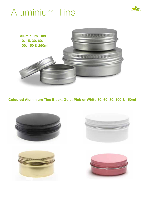# Aluminium Tins





Coloured Aluminium Tins Black, Gold, Pink or White 30, 60, 80, 100 & 150ml





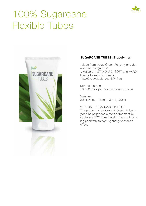

# 100% Sugarcane Flexible Tubes



#### SUGARCANE TUBES (Biopolymer)

-Made from 100% Green Polyethylene derived from sugarcane. -Available in STANDARD, SOFT and HARD blends to suit your needs.

-100% recyclable and BPA free

Minimum order: 10,000 units per product type / volume

Volumes: 30ml, 50ml, 100ml, 200ml, 250ml

WHY USE SUGARCANE TUBES? The production process of Green Polyethylene helps preserve the environment by capturing CO2 from the air, thus contributing positively to fighting the greenhouse effect.